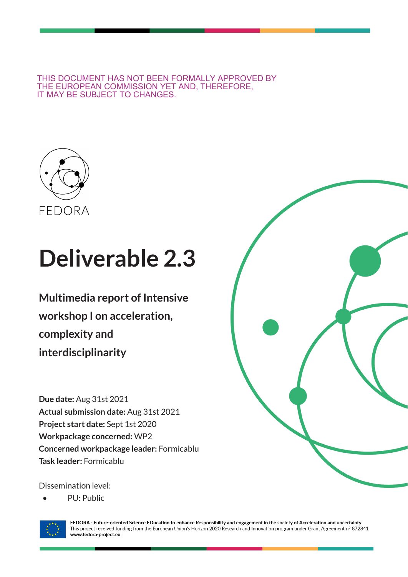THIS DOCUMENT HAS NOT BEEN FORMALLY APPROVED BY THE EUROPEAN COMMISSION YET AND, THEREFORE, IT MAY BE SUBJECT TO CHANGES.



# **Deliverable 2.3**

**Multimedia report of Intensive workshop I on acceleration, complexity and interdisciplinarity**

**Due date:** Aug 31st 2021 **Actual submission date:** Aug 31st 2021 **Project start date:** Sept 1st 2020 **Workpackage concerned:** WP2 **Concerned workpackage leader:** Formicablu **Task leader:** Formicablu

Dissemination level:

• PU: Public





FEDORA - Future-oriented Science EDucation to enhance Responsibility and engagement in the society of Acceleration and uncertainty This project received funding from the European Union's Horizon 2020 Research and Innovation program under Grant Agreement nº 872841 www.fedora-project.eu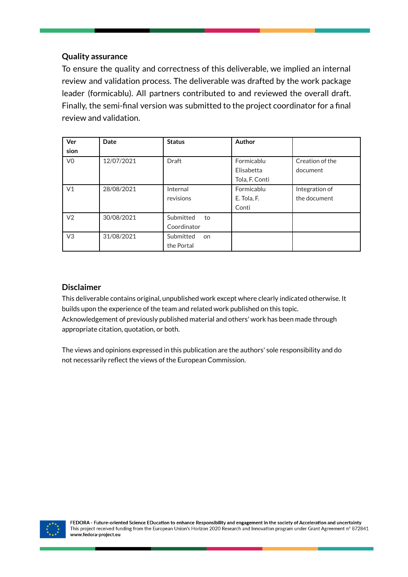#### **Quality assurance**

To ensure the quality and correctness of this deliverable, we implied an internal review and validation process. The deliverable was drafted by the work package leader (formicablu). All partners contributed to and reviewed the overall draft. Finally, the semi-final version was submitted to the project coordinator for a final review and validation.

| Ver            | Date       | <b>Status</b>   | Author         |                 |
|----------------|------------|-----------------|----------------|-----------------|
| sion           |            |                 |                |                 |
| V <sub>0</sub> | 12/07/2021 | <b>Draft</b>    | Formicablu     | Creation of the |
|                |            |                 | Elisabetta     | document        |
|                |            |                 | Tola, F. Conti |                 |
| V <sub>1</sub> | 28/08/2021 | Internal        | Formicablu     | Integration of  |
|                |            | revisions       | E. Tola, F.    | the document    |
|                |            |                 | Conti          |                 |
| V <sub>2</sub> | 30/08/2021 | Submitted<br>to |                |                 |
|                |            | Coordinator     |                |                 |
| V <sub>3</sub> | 31/08/2021 | Submitted<br>on |                |                 |
|                |            | the Portal      |                |                 |

#### **Disclaimer**

This deliverable contains original, unpublished work except where clearly indicated otherwise. It builds upon the experience of the team and related work published on this topic. Acknowledgement of previously published material and others' work has been made through appropriate citation, quotation, or both.

The views and opinions expressed in this publication are the authors' sole responsibility and do not necessarily reflect the views of the European Commission.

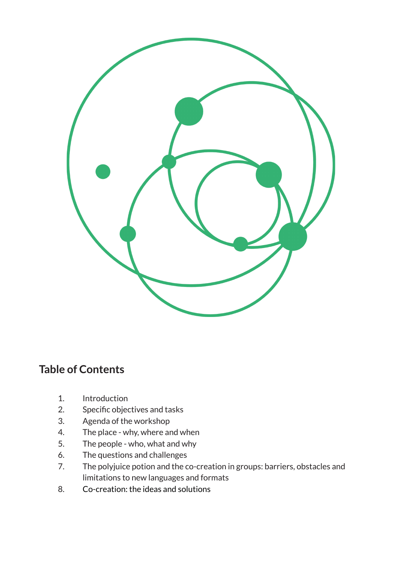

## **Table of Contents**

- 1. Introduction
- 2. Specific objectives and tasks
- 3. Agenda of the workshop
- 4. The place why, where and when
- 5. The people who, what and why
- 6. The questions and challenges
- 7. The polyjuice potion and the co-creation in groups: barriers, obstacles and limitations to new languages and formats
- 8. Co-creation: the ideas and solutions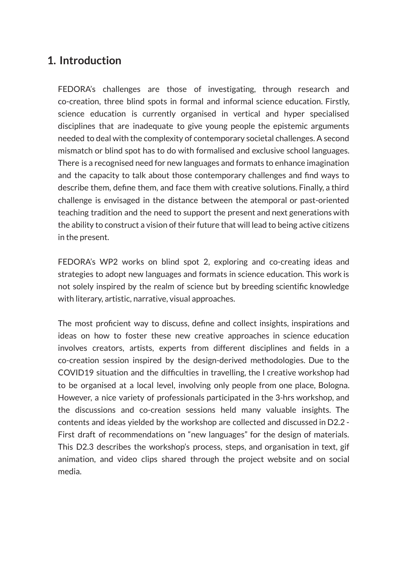## **1. Introduction**

FEDORA's challenges are those of investigating, through research and co-creation, three blind spots in formal and informal science education. Firstly, science education is currently organised in vertical and hyper specialised disciplines that are inadequate to give young people the epistemic arguments needed to deal with the complexity of contemporary societal challenges. A second mismatch or blind spot has to do with formalised and exclusive school languages. There is a recognised need for new languages and formats to enhance imagination and the capacity to talk about those contemporary challenges and find ways to describe them, define them, and face them with creative solutions. Finally, a third challenge is envisaged in the distance between the atemporal or past-oriented teaching tradition and the need to support the present and next generations with the ability to construct a vision of their future that will lead to being active citizens in the present.

FEDORA's WP2 works on blind spot 2, exploring and co-creating ideas and strategies to adopt new languages and formats in science education. This work is not solely inspired by the realm of science but by breeding scientific knowledge with literary, artistic, narrative, visual approaches.

The most proficient way to discuss, define and collect insights, inspirations and ideas on how to foster these new creative approaches in science education involves creators, artists, experts from different disciplines and fields in a co-creation session inspired by the design-derived methodologies. Due to the COVID19 situation and the difficulties in travelling, the I creative workshop had to be organised at a local level, involving only people from one place, Bologna. However, a nice variety of professionals participated in the 3-hrs workshop, and the discussions and co-creation sessions held many valuable insights. The contents and ideas yielded by the workshop are collected and discussed in D2.2 - First draft of recommendations on "new languages" for the design of materials. This D2.3 describes the workshop's process, steps, and organisation in text, gif animation, and video clips shared through the project website and on social media.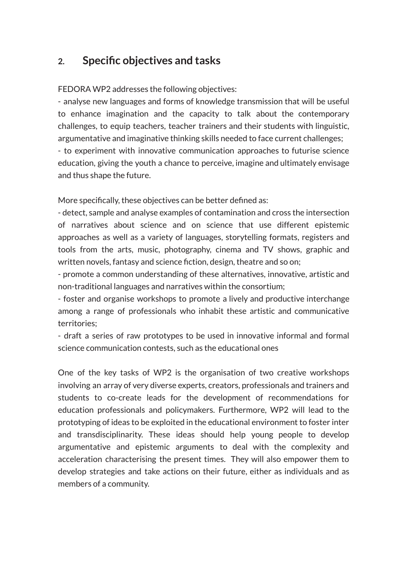## **2. Specific objectives and tasks**

FEDORA WP2 addresses the following objectives:

- analyse new languages and forms of knowledge transmission that will be useful to enhance imagination and the capacity to talk about the contemporary challenges, to equip teachers, teacher trainers and their students with linguistic, argumentative and imaginative thinking skills needed to face current challenges; - to experiment with innovative communication approaches to futurise science education, giving the youth a chance to perceive, imagine and ultimately envisage

and thus shape the future.

More specifically, these objectives can be better defined as:

- detect, sample and analyse examples of contamination and cross the intersection of narratives about science and on science that use different epistemic approaches as well as a variety of languages, storytelling formats, registers and tools from the arts, music, photography, cinema and TV shows, graphic and written novels, fantasy and science fiction, design, theatre and so on;

- promote a common understanding of these alternatives, innovative, artistic and non-traditional languages and narratives within the consortium;

- foster and organise workshops to promote a lively and productive interchange among a range of professionals who inhabit these artistic and communicative territories;

- draft a series of raw prototypes to be used in innovative informal and formal science communication contests, such as the educational ones

One of the key tasks of WP2 is the organisation of two creative workshops involving an array of very diverse experts, creators, professionals and trainers and students to co-create leads for the development of recommendations for education professionals and policymakers. Furthermore, WP2 will lead to the prototyping of ideas to be exploited in the educational environment to foster inter and transdisciplinarity. These ideas should help young people to develop argumentative and epistemic arguments to deal with the complexity and acceleration characterising the present times. They will also empower them to develop strategies and take actions on their future, either as individuals and as members of a community.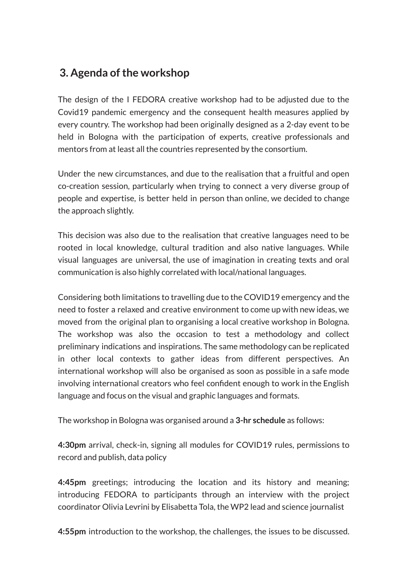## **3.** Agenda of the workshop

The design of the I FEDORA creative workshop had to be adjusted due to the Covid19 pandemic emergency and the consequent health measures applied by every country. The workshop had been originally designed as a 2-day event to be held in Bologna with the participation of experts, creative professionals and mentors from at least all the countries represented by the consortium.

Under the new circumstances, and due to the realisation that a fruitful and open co-creation session, particularly when trying to connect a very diverse group of people and expertise, is better held in person than online, we decided to change the approach slightly.

This decision was also due to the realisation that creative languages need to be rooted in local knowledge, cultural tradition and also native languages. While visual languages are universal, the use of imagination in creating texts and oral communication is also highly correlated with local/national languages.

Considering both limitations to travelling due to the COVID19 emergency and the need to foster a relaxed and creative environment to come up with new ideas, we moved from the original plan to organising a local creative workshop in Bologna. The workshop was also the occasion to test a methodology and collect preliminary indications and inspirations. The same methodology can be replicated in other local contexts to gather ideas from different perspectives. An international workshop will also be organised as soon as possible in a safe mode involving international creators who feel confident enough to work in the English language and focus on the visual and graphic languages and formats.

The workshop in Bologna was organised around a **3-hr schedule** as follows:

**4:30pm** arrival, check-in, signing all modules for COVID19 rules, permissions to record and publish, data policy

**4:45pm** greetings; introducing the location and its history and meaning; introducing FEDORA to participants through an interview with the project coordinator Olivia Levrini by Elisabetta Tola, the WP2 lead and science journalist

**4:55pm** introduction to the workshop, the challenges, the issues to be discussed.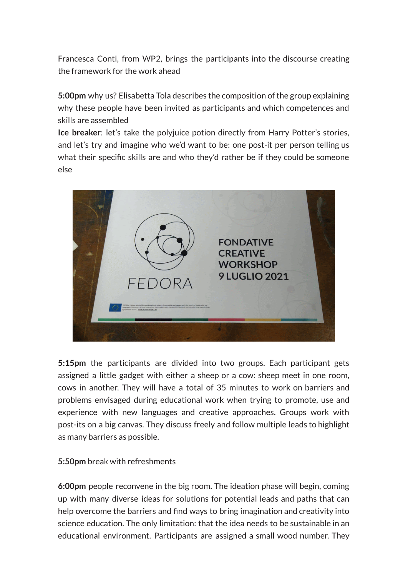Francesca Conti, from WP2, brings the participants into the discourse creating the framework for the work ahead

**5:00pm** why us? Elisabetta Tola describes the composition of the group explaining why these people have been invited as participants and which competences and skills are assembled

**Ice breaker**: let's take the polyjuice potion directly from Harry Potter's stories, and let's try and imagine who we'd want to be: one post-it per person telling us what their specific skills are and who they'd rather be if they could be someone else



**5:15pm** the participants are divided into two groups. Each participant gets assigned a little gadget with either a sheep or a cow: sheep meet in one room, cows in another. They will have a total of 35 minutes to work on barriers and problems envisaged during educational work when trying to promote, use and experience with new languages and creative approaches. Groups work with post-its on a big canvas. They discuss freely and follow multiple leads to highlight as many barriers as possible.

#### **5:50pm** break with refreshments

**6:00pm** people reconvene in the big room. The ideation phase will begin, coming up with many diverse ideas for solutions for potential leads and paths that can help overcome the barriers and find ways to bring imagination and creativity into science education. The only limitation: that the idea needs to be sustainable in an educational environment. Participants are assigned a small wood number. They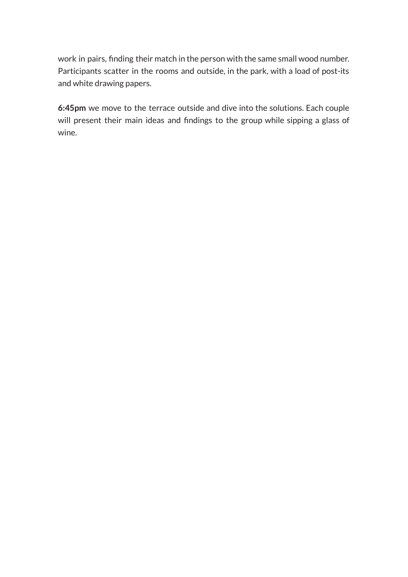work in pairs, finding their match in the person with the same small wood number. Participants scatter in the rooms and outside, in the park, with a load of post-its and white drawing papers.

**6:45pm** we move to the terrace outside and dive into the solutions. Each couple will present their main ideas and findings to the group while sipping a glass of wine.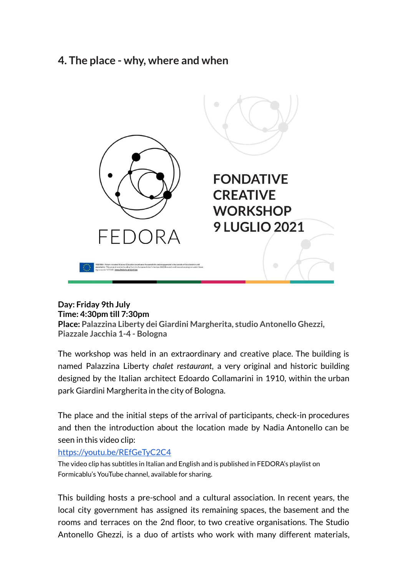### **4. The place - why, where and when**



#### **Day: Friday 9th July Time: 4:30pm till 7:30pm**

**Place: Palazzina Liberty dei Giardini Margherita, studio Antonello Ghezzi, Piazzale Jacchia 1-4 - Bologna**

The workshop was held in an extraordinary and creative place. The building is named Palazzina Liberty *chalet restaurant*, a very original and historic building designed by the Italian architect Edoardo Collamarini in 1910, within the urban park Giardini Margherita in the city of Bologna.

The place and the initial steps of the arrival of participants, check-in procedures and then the introduction about the location made by Nadia Antonello can be seen in this video clip:

#### <https://youtu.be/REfGeTyC2C4>

The video clip has subtitles in Italian and English and is published in FEDORA's playlist on Formicablu's YouTube channel, available for sharing.

This building hosts a pre-school and a cultural association. In recent years, the local city government has assigned its remaining spaces, the basement and the rooms and terraces on the 2nd floor, to two creative organisations. The Studio Antonello Ghezzi, is a duo of artists who work with many different materials,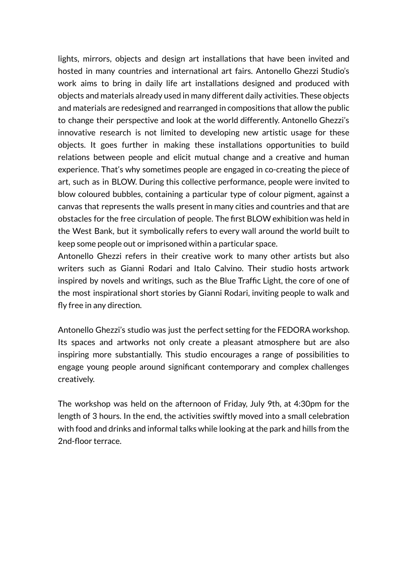lights, mirrors, objects and design art installations that have been invited and hosted in many countries and international art fairs. Antonello Ghezzi Studio's work aims to bring in daily life art installations designed and produced with objects and materials already used in many different daily activities. These objects and materials are redesigned and rearranged in compositions that allow the public to change their perspective and look at the world differently. Antonello Ghezzi's innovative research is not limited to developing new artistic usage for these objects. It goes further in making these installations opportunities to build relations between people and elicit mutual change and a creative and human experience. That's why sometimes people are engaged in co-creating the piece of art, such as in BLOW. During this collective performance, people were invited to blow coloured bubbles, containing a particular type of colour pigment, against a canvas that represents the walls present in many cities and countries and that are obstacles for the free circulation of people. The first BLOW exhibition was held in the West Bank, but it symbolically refers to every wall around the world built to keep some people out or imprisoned within a particular space.

Antonello Ghezzi refers in their creative work to many other artists but also writers such as Gianni Rodari and Italo Calvino. Their studio hosts artwork inspired by novels and writings, such as the Blue Traffic Light, the core of one of the most inspirational short stories by Gianni Rodari, inviting people to walk and fly free in any direction.

Antonello Ghezzi's studio was just the perfect setting for the FEDORA workshop. Its spaces and artworks not only create a pleasant atmosphere but are also inspiring more substantially. This studio encourages a range of possibilities to engage young people around significant contemporary and complex challenges creatively.

The workshop was held on the afternoon of Friday, July 9th, at 4:30pm for the length of 3 hours. In the end, the activities swiftly moved into a small celebration with food and drinks and informal talks while looking at the park and hills from the 2nd-floor terrace.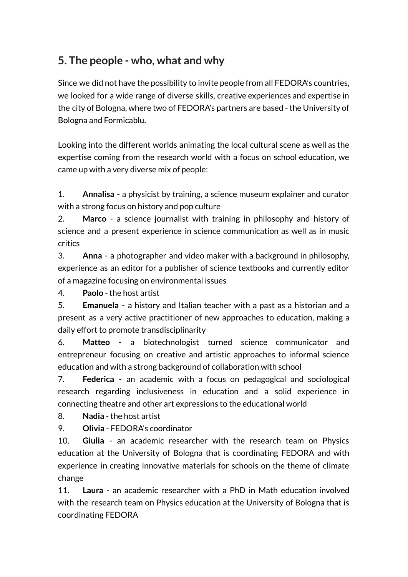## **5. The people - who, what and why**

Since we did not have the possibility to invite people from all FEDORA's countries, we looked for a wide range of diverse skills, creative experiences and expertise in the city of Bologna, where two of FEDORA's partners are based - the University of Bologna and Formicablu.

Looking into the different worlds animating the local cultural scene as well as the expertise coming from the research world with a focus on school education, we came up with a very diverse mix of people:

1. **Annalisa** - a physicist by training, a science museum explainer and curator with a strong focus on history and pop culture

2. **Marco** - a science journalist with training in philosophy and history of science and a present experience in science communication as well as in music critics

3. **Anna** - a photographer and video maker with a background in philosophy, experience as an editor for a publisher of science textbooks and currently editor of a magazine focusing on environmental issues

4. **Paolo** - the host artist

5. **Emanuela** - a history and Italian teacher with a past as a historian and a present as a very active practitioner of new approaches to education, making a daily effort to promote transdisciplinarity

6. **Matteo** - a biotechnologist turned science communicator and entrepreneur focusing on creative and artistic approaches to informal science education and with a strong background of collaboration with school

7. **Federica** - an academic with a focus on pedagogical and sociological research regarding inclusiveness in education and a solid experience in connecting theatre and other art expressions to the educational world

8. **Nadia** - the host artist

9. **Olivia** - FEDORA's coordinator

10. **Giulia** - an academic researcher with the research team on Physics education at the University of Bologna that is coordinating FEDORA and with experience in creating innovative materials for schools on the theme of climate change

11. **Laura** - an academic researcher with a PhD in Math education involved with the research team on Physics education at the University of Bologna that is coordinating FEDORA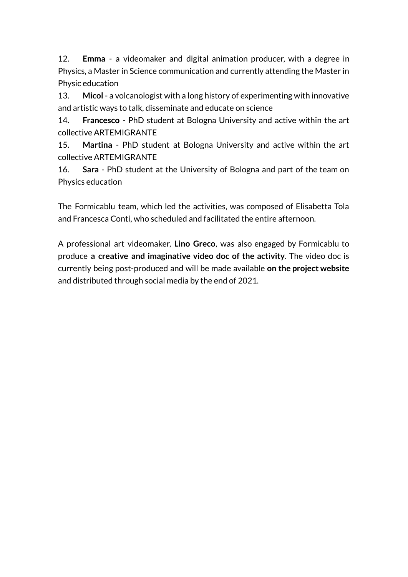12. **Emma** - a videomaker and digital animation producer, with a degree in Physics, a Master in Science communication and currently attending the Master in Physic education

13. **Micol** - a volcanologist with a long history of experimenting with innovative and artistic ways to talk, disseminate and educate on science

14. **Francesco** - PhD student at Bologna University and active within the art collective ARTEMIGRANTE

15. **Martina** - PhD student at Bologna University and active within the art collective ARTEMIGRANTE

16. **Sara** - PhD student at the University of Bologna and part of the team on Physics education

The Formicablu team, which led the activities, was composed of Elisabetta Tola and Francesca Conti, who scheduled and facilitated the entire afternoon.

A professional art videomaker, **Lino Greco**, was also engaged by Formicablu to produce **a creative and imaginative video doc of the activity**. The video doc is currently being post-produced and will be made available **on the project website** and distributed through social media by the end of 2021.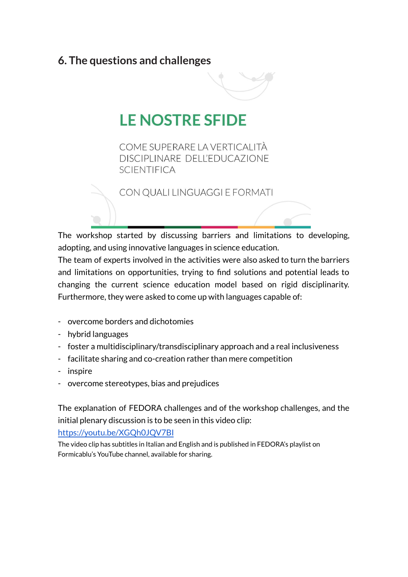## **6. The questions and challenges**



## **LE NOSTRE SFIDE**

COME SUPERARE LA VERTICALITÀ DISCIPLINARE DELL'EDUCAZIONE **SCIENTIFICA** 

CON QUALI LINGUAGGI E FORMATI

The workshop started by discussing barriers and limitations to developing, adopting, and using innovative languages in science education.

The team of experts involved in the activities were also asked to turn the barriers and limitations on opportunities, trying to find solutions and potential leads to changing the current science education model based on rigid disciplinarity. Furthermore, they were asked to come up with languages capable of:

- overcome borders and dichotomies
- hybrid languages
- foster a multidisciplinary/transdisciplinary approach and a real inclusiveness
- facilitate sharing and co-creation rather than mere competition
- inspire
- overcome stereotypes, bias and prejudices

The explanation of FEDORA challenges and of the workshop challenges, and the initial plenary discussion is to be seen in this video clip:

<https://youtu.be/XGQh0JQV7BI>

The video clip has subtitles in Italian and English and is published in FEDORA's playlist on Formicablu's YouTube channel, available for sharing.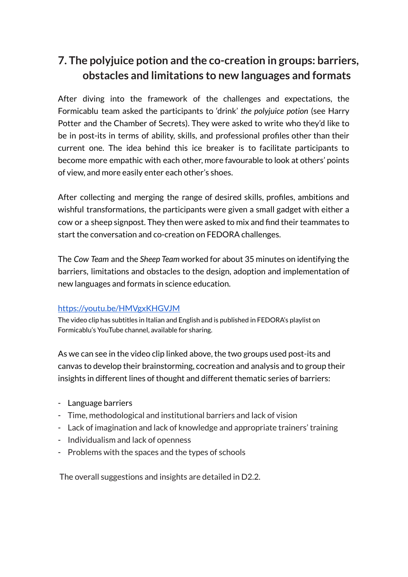## **7. The polyjuice potion and the co-creation in groups: barriers, obstacles and limitations to new languages and formats**

After diving into the framework of the challenges and expectations, the Formicablu team asked the participants to 'drink' *the polyjuice potion* (see Harry Potter and the Chamber of Secrets). They were asked to write who they'd like to be in post-its in terms of ability, skills, and professional profiles other than their current one. The idea behind this ice breaker is to facilitate participants to become more empathic with each other, more favourable to look at others' points of view, and more easily enter each other's shoes.

After collecting and merging the range of desired skills, profiles, ambitions and wishful transformations, the participants were given a small gadget with either a cow or a sheep signpost. They then were asked to mix and find their teammates to start the conversation and co-creation on FEDORA challenges.

The *Cow Team* and the *Sheep Team* worked for about 35 minutes on identifying the barriers, limitations and obstacles to the design, adoption and implementation of new languages and formats in science education.

#### <https://youtu.be/HMVgxKHGVJM>

The video clip has subtitles in Italian and English and is published in FEDORA's playlist on Formicablu's YouTube channel, available for sharing.

As we can see in the video clip linked above, the two groups used post-its and canvas to develop their brainstorming, cocreation and analysis and to group their insights in different lines of thought and different thematic series of barriers:

- Language barriers
- Time, methodological and institutional barriers and lack of vision
- Lack of imagination and lack of knowledge and appropriate trainers' training
- Individualism and lack of openness
- Problems with the spaces and the types of schools

The overall suggestions and insights are detailed in D2.2.